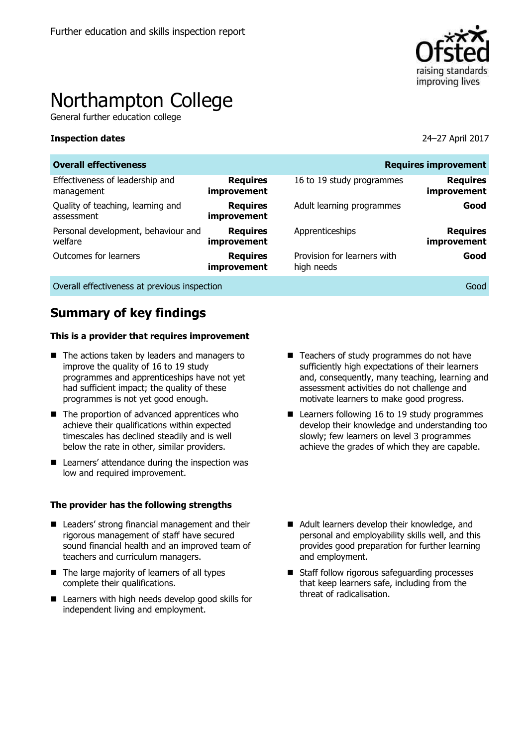

# Northampton College

General further education college

#### **Inspection dates** 24–27 April 2017

| <b>Overall effectiveness</b>                    |                                |                                           | <b>Requires improvement</b>    |
|-------------------------------------------------|--------------------------------|-------------------------------------------|--------------------------------|
| Effectiveness of leadership and<br>management   | <b>Requires</b><br>improvement | 16 to 19 study programmes                 | <b>Requires</b><br>improvement |
| Quality of teaching, learning and<br>assessment | <b>Requires</b><br>improvement | Adult learning programmes                 | Good                           |
| Personal development, behaviour and<br>welfare  | <b>Requires</b><br>improvement | Apprenticeships                           | <b>Requires</b><br>improvement |
| Outcomes for learners                           | <b>Requires</b><br>improvement | Provision for learners with<br>high needs | Good                           |
|                                                 |                                |                                           |                                |

Overall effectiveness at previous inspection Good

# **Summary of key findings**

#### **This is a provider that requires improvement**

- The actions taken by leaders and managers to improve the quality of 16 to 19 study programmes and apprenticeships have not yet had sufficient impact; the quality of these programmes is not yet good enough.
- $\blacksquare$  The proportion of advanced apprentices who achieve their qualifications within expected timescales has declined steadily and is well below the rate in other, similar providers.
- Learners' attendance during the inspection was low and required improvement.

#### **The provider has the following strengths**

- Leaders' strong financial management and their rigorous management of staff have secured sound financial health and an improved team of teachers and curriculum managers.
- The large majority of learners of all types complete their qualifications.
- Learners with high needs develop good skills for independent living and employment.
- Teachers of study programmes do not have sufficiently high expectations of their learners and, consequently, many teaching, learning and assessment activities do not challenge and motivate learners to make good progress.
- Learners following 16 to 19 study programmes develop their knowledge and understanding too slowly; few learners on level 3 programmes achieve the grades of which they are capable.
- Adult learners develop their knowledge, and personal and employability skills well, and this provides good preparation for further learning and employment.
- Staff follow rigorous safeguarding processes that keep learners safe, including from the threat of radicalisation.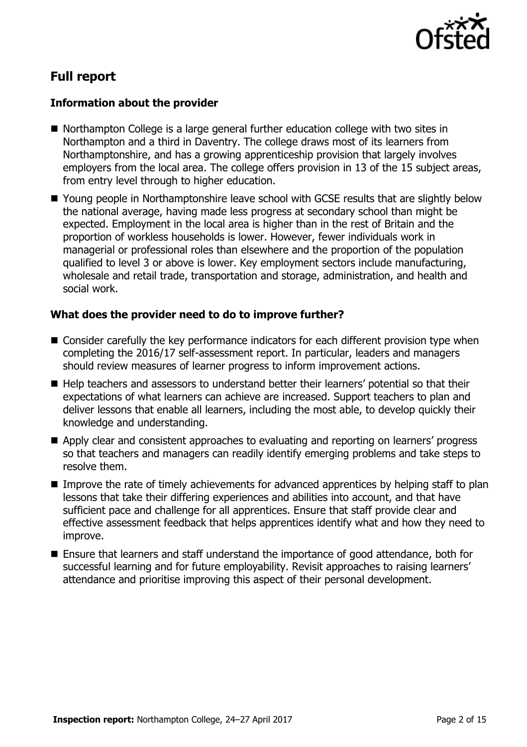

# **Full report**

### **Information about the provider**

- Northampton College is a large general further education college with two sites in Northampton and a third in Daventry. The college draws most of its learners from Northamptonshire, and has a growing apprenticeship provision that largely involves employers from the local area. The college offers provision in 13 of the 15 subject areas, from entry level through to higher education.
- Young people in Northamptonshire leave school with GCSE results that are slightly below the national average, having made less progress at secondary school than might be expected. Employment in the local area is higher than in the rest of Britain and the proportion of workless households is lower. However, fewer individuals work in managerial or professional roles than elsewhere and the proportion of the population qualified to level 3 or above is lower. Key employment sectors include manufacturing, wholesale and retail trade, transportation and storage, administration, and health and social work.

#### **What does the provider need to do to improve further?**

- Consider carefully the key performance indicators for each different provision type when completing the 2016/17 self-assessment report. In particular, leaders and managers should review measures of learner progress to inform improvement actions.
- Help teachers and assessors to understand better their learners' potential so that their expectations of what learners can achieve are increased. Support teachers to plan and deliver lessons that enable all learners, including the most able, to develop quickly their knowledge and understanding.
- Apply clear and consistent approaches to evaluating and reporting on learners' progress so that teachers and managers can readily identify emerging problems and take steps to resolve them.
- Improve the rate of timely achievements for advanced apprentices by helping staff to plan lessons that take their differing experiences and abilities into account, and that have sufficient pace and challenge for all apprentices. Ensure that staff provide clear and effective assessment feedback that helps apprentices identify what and how they need to improve.
- Ensure that learners and staff understand the importance of good attendance, both for successful learning and for future employability. Revisit approaches to raising learners' attendance and prioritise improving this aspect of their personal development.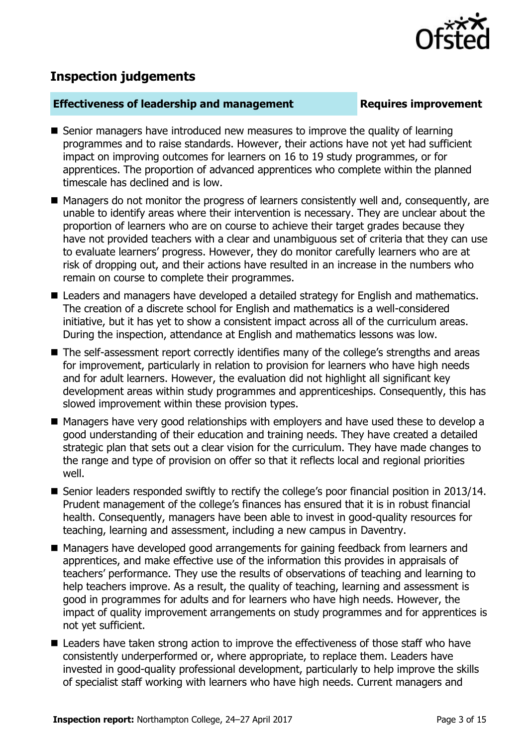

# **Inspection judgements**

#### **Effectiveness of leadership and management Requires improvement**

- Senior managers have introduced new measures to improve the quality of learning programmes and to raise standards. However, their actions have not yet had sufficient impact on improving outcomes for learners on 16 to 19 study programmes, or for apprentices. The proportion of advanced apprentices who complete within the planned timescale has declined and is low.
- Managers do not monitor the progress of learners consistently well and, consequently, are unable to identify areas where their intervention is necessary. They are unclear about the proportion of learners who are on course to achieve their target grades because they have not provided teachers with a clear and unambiguous set of criteria that they can use to evaluate learners' progress. However, they do monitor carefully learners who are at risk of dropping out, and their actions have resulted in an increase in the numbers who remain on course to complete their programmes.
- Leaders and managers have developed a detailed strategy for English and mathematics. The creation of a discrete school for English and mathematics is a well-considered initiative, but it has yet to show a consistent impact across all of the curriculum areas. During the inspection, attendance at English and mathematics lessons was low.
- The self-assessment report correctly identifies many of the college's strengths and areas for improvement, particularly in relation to provision for learners who have high needs and for adult learners. However, the evaluation did not highlight all significant key development areas within study programmes and apprenticeships. Consequently, this has slowed improvement within these provision types.
- Managers have very good relationships with employers and have used these to develop a good understanding of their education and training needs. They have created a detailed strategic plan that sets out a clear vision for the curriculum. They have made changes to the range and type of provision on offer so that it reflects local and regional priorities well.
- Senior leaders responded swiftly to rectify the college's poor financial position in 2013/14. Prudent management of the college's finances has ensured that it is in robust financial health. Consequently, managers have been able to invest in good-quality resources for teaching, learning and assessment, including a new campus in Daventry.
- Managers have developed good arrangements for gaining feedback from learners and apprentices, and make effective use of the information this provides in appraisals of teachers' performance. They use the results of observations of teaching and learning to help teachers improve. As a result, the quality of teaching, learning and assessment is good in programmes for adults and for learners who have high needs. However, the impact of quality improvement arrangements on study programmes and for apprentices is not yet sufficient.
- Leaders have taken strong action to improve the effectiveness of those staff who have consistently underperformed or, where appropriate, to replace them. Leaders have invested in good-quality professional development, particularly to help improve the skills of specialist staff working with learners who have high needs. Current managers and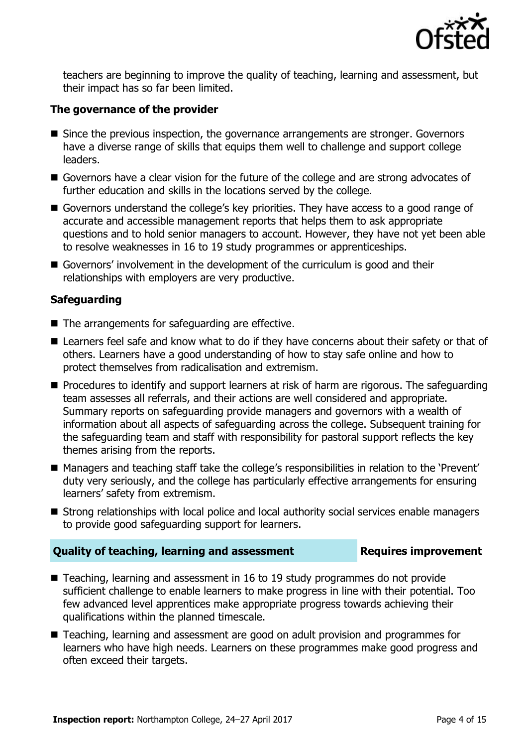

teachers are beginning to improve the quality of teaching, learning and assessment, but their impact has so far been limited.

### **The governance of the provider**

- Since the previous inspection, the governance arrangements are stronger. Governors have a diverse range of skills that equips them well to challenge and support college leaders.
- Governors have a clear vision for the future of the college and are strong advocates of further education and skills in the locations served by the college.
- Governors understand the college's key priorities. They have access to a good range of accurate and accessible management reports that helps them to ask appropriate questions and to hold senior managers to account. However, they have not yet been able to resolve weaknesses in 16 to 19 study programmes or apprenticeships.
- Governors' involvement in the development of the curriculum is good and their relationships with employers are very productive.

### **Safeguarding**

- $\blacksquare$  The arrangements for safeguarding are effective.
- Learners feel safe and know what to do if they have concerns about their safety or that of others. Learners have a good understanding of how to stay safe online and how to protect themselves from radicalisation and extremism.
- **Procedures to identify and support learners at risk of harm are rigorous. The safeguarding** team assesses all referrals, and their actions are well considered and appropriate. Summary reports on safeguarding provide managers and governors with a wealth of information about all aspects of safeguarding across the college. Subsequent training for the safeguarding team and staff with responsibility for pastoral support reflects the key themes arising from the reports.
- Managers and teaching staff take the college's responsibilities in relation to the 'Prevent' duty very seriously, and the college has particularly effective arrangements for ensuring learners' safety from extremism.
- Strong relationships with local police and local authority social services enable managers to provide good safeguarding support for learners.

### **Quality of teaching, learning and assessment Requires improvement**

- Teaching, learning and assessment in 16 to 19 study programmes do not provide sufficient challenge to enable learners to make progress in line with their potential. Too few advanced level apprentices make appropriate progress towards achieving their qualifications within the planned timescale.
- Teaching, learning and assessment are good on adult provision and programmes for learners who have high needs. Learners on these programmes make good progress and often exceed their targets.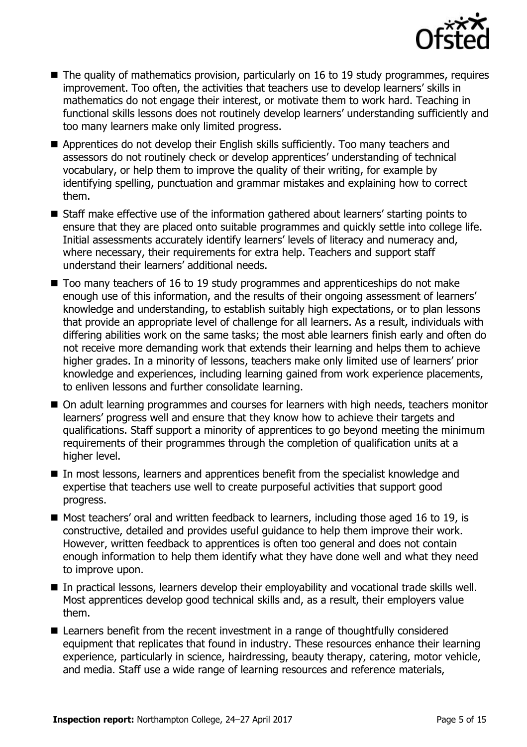

- The quality of mathematics provision, particularly on 16 to 19 study programmes, requires improvement. Too often, the activities that teachers use to develop learners' skills in mathematics do not engage their interest, or motivate them to work hard. Teaching in functional skills lessons does not routinely develop learners' understanding sufficiently and too many learners make only limited progress.
- Apprentices do not develop their English skills sufficiently. Too many teachers and assessors do not routinely check or develop apprentices' understanding of technical vocabulary, or help them to improve the quality of their writing, for example by identifying spelling, punctuation and grammar mistakes and explaining how to correct them.
- Staff make effective use of the information gathered about learners' starting points to ensure that they are placed onto suitable programmes and quickly settle into college life. Initial assessments accurately identify learners' levels of literacy and numeracy and, where necessary, their requirements for extra help. Teachers and support staff understand their learners' additional needs.
- $\blacksquare$  Too many teachers of 16 to 19 study programmes and apprenticeships do not make enough use of this information, and the results of their ongoing assessment of learners' knowledge and understanding, to establish suitably high expectations, or to plan lessons that provide an appropriate level of challenge for all learners. As a result, individuals with differing abilities work on the same tasks; the most able learners finish early and often do not receive more demanding work that extends their learning and helps them to achieve higher grades. In a minority of lessons, teachers make only limited use of learners' prior knowledge and experiences, including learning gained from work experience placements, to enliven lessons and further consolidate learning.
- On adult learning programmes and courses for learners with high needs, teachers monitor learners' progress well and ensure that they know how to achieve their targets and qualifications. Staff support a minority of apprentices to go beyond meeting the minimum requirements of their programmes through the completion of qualification units at a higher level.
- In most lessons, learners and apprentices benefit from the specialist knowledge and expertise that teachers use well to create purposeful activities that support good progress.
- Most teachers' oral and written feedback to learners, including those aged 16 to 19, is constructive, detailed and provides useful guidance to help them improve their work. However, written feedback to apprentices is often too general and does not contain enough information to help them identify what they have done well and what they need to improve upon.
- In practical lessons, learners develop their employability and vocational trade skills well. Most apprentices develop good technical skills and, as a result, their employers value them.
- Learners benefit from the recent investment in a range of thoughtfully considered equipment that replicates that found in industry. These resources enhance their learning experience, particularly in science, hairdressing, beauty therapy, catering, motor vehicle, and media. Staff use a wide range of learning resources and reference materials,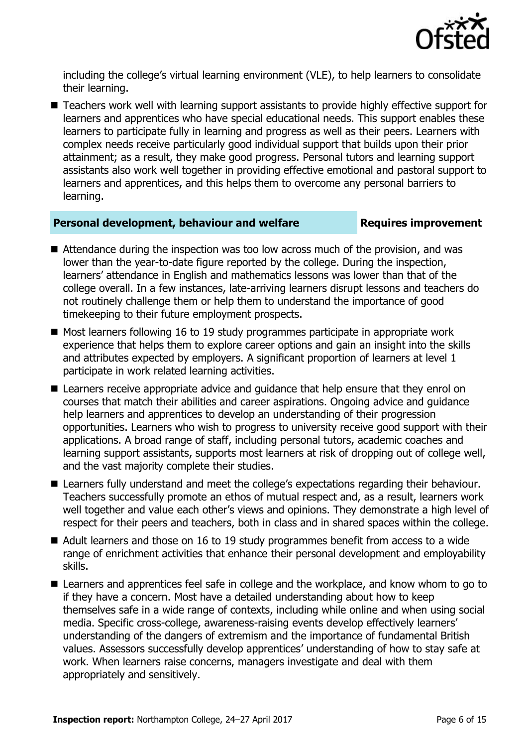

including the college's virtual learning environment (VLE), to help learners to consolidate their learning.

■ Teachers work well with learning support assistants to provide highly effective support for learners and apprentices who have special educational needs. This support enables these learners to participate fully in learning and progress as well as their peers. Learners with complex needs receive particularly good individual support that builds upon their prior attainment; as a result, they make good progress. Personal tutors and learning support assistants also work well together in providing effective emotional and pastoral support to learners and apprentices, and this helps them to overcome any personal barriers to learning.

#### **Personal development, behaviour and welfare <b>Requires improvement**

- Attendance during the inspection was too low across much of the provision, and was lower than the year-to-date figure reported by the college. During the inspection, learners' attendance in English and mathematics lessons was lower than that of the college overall. In a few instances, late-arriving learners disrupt lessons and teachers do not routinely challenge them or help them to understand the importance of good timekeeping to their future employment prospects.
- Most learners following 16 to 19 study programmes participate in appropriate work experience that helps them to explore career options and gain an insight into the skills and attributes expected by employers. A significant proportion of learners at level 1 participate in work related learning activities.
- **E** Learners receive appropriate advice and guidance that help ensure that they enrol on courses that match their abilities and career aspirations. Ongoing advice and guidance help learners and apprentices to develop an understanding of their progression opportunities. Learners who wish to progress to university receive good support with their applications. A broad range of staff, including personal tutors, academic coaches and learning support assistants, supports most learners at risk of dropping out of college well, and the vast majority complete their studies.
- **E** Learners fully understand and meet the college's expectations regarding their behaviour. Teachers successfully promote an ethos of mutual respect and, as a result, learners work well together and value each other's views and opinions. They demonstrate a high level of respect for their peers and teachers, both in class and in shared spaces within the college.
- Adult learners and those on 16 to 19 study programmes benefit from access to a wide range of enrichment activities that enhance their personal development and employability skills.
- Learners and apprentices feel safe in college and the workplace, and know whom to go to if they have a concern. Most have a detailed understanding about how to keep themselves safe in a wide range of contexts, including while online and when using social media. Specific cross-college, awareness-raising events develop effectively learners' understanding of the dangers of extremism and the importance of fundamental British values. Assessors successfully develop apprentices' understanding of how to stay safe at work. When learners raise concerns, managers investigate and deal with them appropriately and sensitively.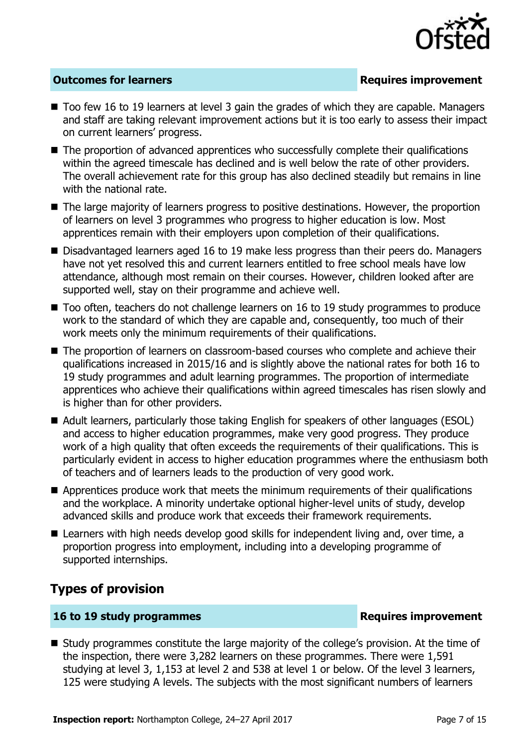

### **Outcomes for learners Requires improvement**

- Too few 16 to 19 learners at level 3 gain the grades of which they are capable. Managers and staff are taking relevant improvement actions but it is too early to assess their impact on current learners' progress.
- The proportion of advanced apprentices who successfully complete their qualifications within the agreed timescale has declined and is well below the rate of other providers. The overall achievement rate for this group has also declined steadily but remains in line with the national rate.
- The large majority of learners progress to positive destinations. However, the proportion of learners on level 3 programmes who progress to higher education is low. Most apprentices remain with their employers upon completion of their qualifications.
- Disadvantaged learners aged 16 to 19 make less progress than their peers do. Managers have not yet resolved this and current learners entitled to free school meals have low attendance, although most remain on their courses. However, children looked after are supported well, stay on their programme and achieve well.
- Too often, teachers do not challenge learners on 16 to 19 study programmes to produce work to the standard of which they are capable and, consequently, too much of their work meets only the minimum requirements of their qualifications.
- The proportion of learners on classroom-based courses who complete and achieve their qualifications increased in 2015/16 and is slightly above the national rates for both 16 to 19 study programmes and adult learning programmes. The proportion of intermediate apprentices who achieve their qualifications within agreed timescales has risen slowly and is higher than for other providers.
- Adult learners, particularly those taking English for speakers of other languages (ESOL) and access to higher education programmes, make very good progress. They produce work of a high quality that often exceeds the requirements of their qualifications. This is particularly evident in access to higher education programmes where the enthusiasm both of teachers and of learners leads to the production of very good work.
- **E** Apprentices produce work that meets the minimum requirements of their qualifications and the workplace. A minority undertake optional higher-level units of study, develop advanced skills and produce work that exceeds their framework requirements.
- Learners with high needs develop good skills for independent living and, over time, a proportion progress into employment, including into a developing programme of supported internships.

### **Types of provision**

#### **16 to 19 study programmes Requires improvement**

 Study programmes constitute the large majority of the college's provision. At the time of the inspection, there were 3,282 learners on these programmes. There were 1,591 studying at level 3, 1,153 at level 2 and 538 at level 1 or below. Of the level 3 learners, 125 were studying A levels. The subjects with the most significant numbers of learners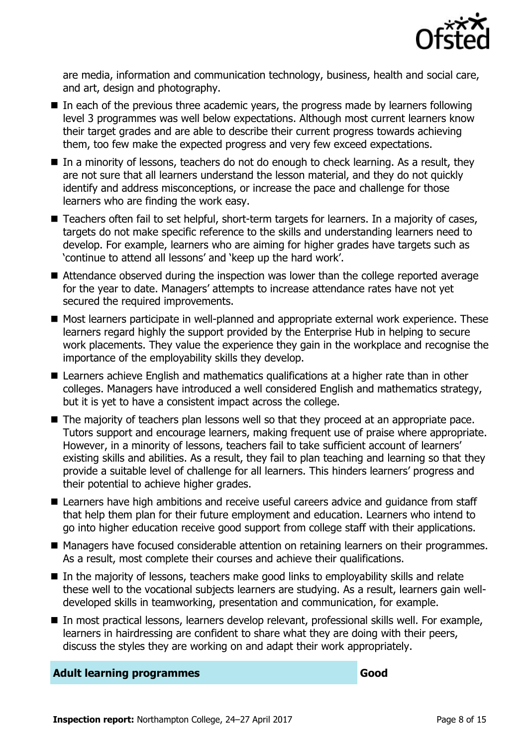

are media, information and communication technology, business, health and social care, and art, design and photography.

- In each of the previous three academic years, the progress made by learners following level 3 programmes was well below expectations. Although most current learners know their target grades and are able to describe their current progress towards achieving them, too few make the expected progress and very few exceed expectations.
- In a minority of lessons, teachers do not do enough to check learning. As a result, they are not sure that all learners understand the lesson material, and they do not quickly identify and address misconceptions, or increase the pace and challenge for those learners who are finding the work easy.
- Teachers often fail to set helpful, short-term targets for learners. In a majority of cases, targets do not make specific reference to the skills and understanding learners need to develop. For example, learners who are aiming for higher grades have targets such as 'continue to attend all lessons' and 'keep up the hard work'.
- Attendance observed during the inspection was lower than the college reported average for the year to date. Managers' attempts to increase attendance rates have not yet secured the required improvements.
- Most learners participate in well-planned and appropriate external work experience. These learners regard highly the support provided by the Enterprise Hub in helping to secure work placements. They value the experience they gain in the workplace and recognise the importance of the employability skills they develop.
- Learners achieve English and mathematics qualifications at a higher rate than in other colleges. Managers have introduced a well considered English and mathematics strategy, but it is yet to have a consistent impact across the college.
- The majority of teachers plan lessons well so that they proceed at an appropriate pace. Tutors support and encourage learners, making frequent use of praise where appropriate. However, in a minority of lessons, teachers fail to take sufficient account of learners' existing skills and abilities. As a result, they fail to plan teaching and learning so that they provide a suitable level of challenge for all learners. This hinders learners' progress and their potential to achieve higher grades.
- Learners have high ambitions and receive useful careers advice and quidance from staff that help them plan for their future employment and education. Learners who intend to go into higher education receive good support from college staff with their applications.
- Managers have focused considerable attention on retaining learners on their programmes. As a result, most complete their courses and achieve their qualifications.
- In the majority of lessons, teachers make good links to employability skills and relate these well to the vocational subjects learners are studying. As a result, learners gain welldeveloped skills in teamworking, presentation and communication, for example.
- In most practical lessons, learners develop relevant, professional skills well. For example, learners in hairdressing are confident to share what they are doing with their peers, discuss the styles they are working on and adapt their work appropriately.

#### **Adult learning programmes Good**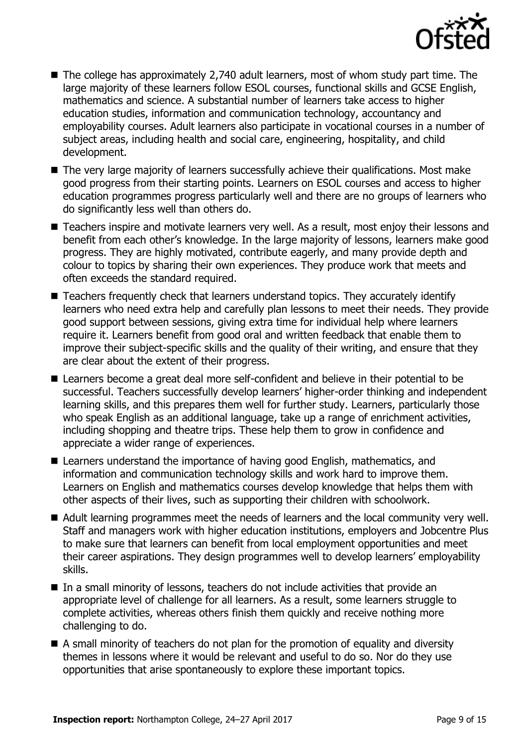

- The college has approximately 2,740 adult learners, most of whom study part time. The large majority of these learners follow ESOL courses, functional skills and GCSE English, mathematics and science. A substantial number of learners take access to higher education studies, information and communication technology, accountancy and employability courses. Adult learners also participate in vocational courses in a number of subject areas, including health and social care, engineering, hospitality, and child development.
- The very large majority of learners successfully achieve their qualifications. Most make good progress from their starting points. Learners on ESOL courses and access to higher education programmes progress particularly well and there are no groups of learners who do significantly less well than others do.
- Teachers inspire and motivate learners very well. As a result, most enjoy their lessons and benefit from each other's knowledge. In the large majority of lessons, learners make good progress. They are highly motivated, contribute eagerly, and many provide depth and colour to topics by sharing their own experiences. They produce work that meets and often exceeds the standard required.
- Teachers frequently check that learners understand topics. They accurately identify learners who need extra help and carefully plan lessons to meet their needs. They provide good support between sessions, giving extra time for individual help where learners require it. Learners benefit from good oral and written feedback that enable them to improve their subject-specific skills and the quality of their writing, and ensure that they are clear about the extent of their progress.
- Learners become a great deal more self-confident and believe in their potential to be successful. Teachers successfully develop learners' higher-order thinking and independent learning skills, and this prepares them well for further study. Learners, particularly those who speak English as an additional language, take up a range of enrichment activities, including shopping and theatre trips. These help them to grow in confidence and appreciate a wider range of experiences.
- Learners understand the importance of having good English, mathematics, and information and communication technology skills and work hard to improve them. Learners on English and mathematics courses develop knowledge that helps them with other aspects of their lives, such as supporting their children with schoolwork.
- Adult learning programmes meet the needs of learners and the local community very well. Staff and managers work with higher education institutions, employers and Jobcentre Plus to make sure that learners can benefit from local employment opportunities and meet their career aspirations. They design programmes well to develop learners' employability skills.
- In a small minority of lessons, teachers do not include activities that provide an appropriate level of challenge for all learners. As a result, some learners struggle to complete activities, whereas others finish them quickly and receive nothing more challenging to do.
- $\blacksquare$  A small minority of teachers do not plan for the promotion of equality and diversity themes in lessons where it would be relevant and useful to do so. Nor do they use opportunities that arise spontaneously to explore these important topics.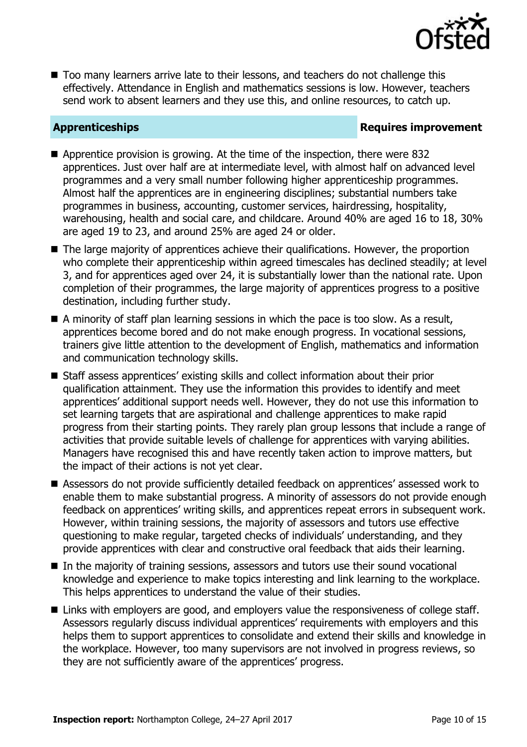

■ Too many learners arrive late to their lessons, and teachers do not challenge this effectively. Attendance in English and mathematics sessions is low. However, teachers send work to absent learners and they use this, and online resources, to catch up.

### **Apprenticeships Requires improvement**

- Apprentice provision is growing. At the time of the inspection, there were 832 apprentices. Just over half are at intermediate level, with almost half on advanced level programmes and a very small number following higher apprenticeship programmes. Almost half the apprentices are in engineering disciplines; substantial numbers take programmes in business, accounting, customer services, hairdressing, hospitality, warehousing, health and social care, and childcare. Around 40% are aged 16 to 18, 30% are aged 19 to 23, and around 25% are aged 24 or older.
- The large majority of apprentices achieve their qualifications. However, the proportion who complete their apprenticeship within agreed timescales has declined steadily; at level 3, and for apprentices aged over 24, it is substantially lower than the national rate. Upon completion of their programmes, the large majority of apprentices progress to a positive destination, including further study.
- $\blacksquare$  A minority of staff plan learning sessions in which the pace is too slow. As a result, apprentices become bored and do not make enough progress. In vocational sessions, trainers give little attention to the development of English, mathematics and information and communication technology skills.
- Staff assess apprentices' existing skills and collect information about their prior qualification attainment. They use the information this provides to identify and meet apprentices' additional support needs well. However, they do not use this information to set learning targets that are aspirational and challenge apprentices to make rapid progress from their starting points. They rarely plan group lessons that include a range of activities that provide suitable levels of challenge for apprentices with varying abilities. Managers have recognised this and have recently taken action to improve matters, but the impact of their actions is not yet clear.
- Assessors do not provide sufficiently detailed feedback on apprentices' assessed work to enable them to make substantial progress. A minority of assessors do not provide enough feedback on apprentices' writing skills, and apprentices repeat errors in subsequent work. However, within training sessions, the majority of assessors and tutors use effective questioning to make regular, targeted checks of individuals' understanding, and they provide apprentices with clear and constructive oral feedback that aids their learning.
- In the majority of training sessions, assessors and tutors use their sound vocational knowledge and experience to make topics interesting and link learning to the workplace. This helps apprentices to understand the value of their studies.
- Links with employers are good, and employers value the responsiveness of college staff. Assessors regularly discuss individual apprentices' requirements with employers and this helps them to support apprentices to consolidate and extend their skills and knowledge in the workplace. However, too many supervisors are not involved in progress reviews, so they are not sufficiently aware of the apprentices' progress.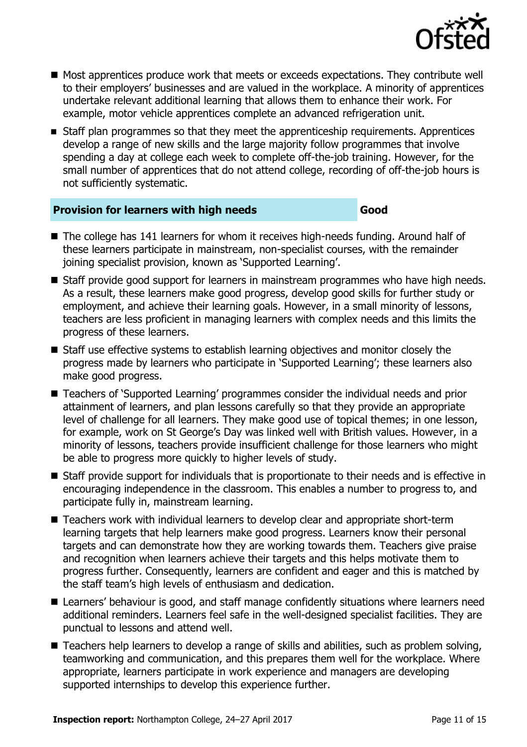

- Most apprentices produce work that meets or exceeds expectations. They contribute well to their employers' businesses and are valued in the workplace. A minority of apprentices undertake relevant additional learning that allows them to enhance their work. For example, motor vehicle apprentices complete an advanced refrigeration unit.
- **Staff plan programmes so that they meet the apprenticeship requirements. Apprentices** develop a range of new skills and the large majority follow programmes that involve spending a day at college each week to complete off-the-job training. However, for the small number of apprentices that do not attend college, recording of off-the-job hours is not sufficiently systematic.

#### **Provision for learners with high needs Good**

- The college has 141 learners for whom it receives high-needs funding. Around half of these learners participate in mainstream, non-specialist courses, with the remainder joining specialist provision, known as 'Supported Learning'.
- Staff provide good support for learners in mainstream programmes who have high needs. As a result, these learners make good progress, develop good skills for further study or employment, and achieve their learning goals. However, in a small minority of lessons, teachers are less proficient in managing learners with complex needs and this limits the progress of these learners.
- Staff use effective systems to establish learning objectives and monitor closely the progress made by learners who participate in 'Supported Learning'; these learners also make good progress.
- Teachers of 'Supported Learning' programmes consider the individual needs and prior attainment of learners, and plan lessons carefully so that they provide an appropriate level of challenge for all learners. They make good use of topical themes; in one lesson, for example, work on St George's Day was linked well with British values. However, in a minority of lessons, teachers provide insufficient challenge for those learners who might be able to progress more quickly to higher levels of study.
- Staff provide support for individuals that is proportionate to their needs and is effective in encouraging independence in the classroom. This enables a number to progress to, and participate fully in, mainstream learning.
- Teachers work with individual learners to develop clear and appropriate short-term learning targets that help learners make good progress. Learners know their personal targets and can demonstrate how they are working towards them. Teachers give praise and recognition when learners achieve their targets and this helps motivate them to progress further. Consequently, learners are confident and eager and this is matched by the staff team's high levels of enthusiasm and dedication.
- Learners' behaviour is good, and staff manage confidently situations where learners need additional reminders. Learners feel safe in the well-designed specialist facilities. They are punctual to lessons and attend well.
- Teachers help learners to develop a range of skills and abilities, such as problem solving, teamworking and communication, and this prepares them well for the workplace. Where appropriate, learners participate in work experience and managers are developing supported internships to develop this experience further.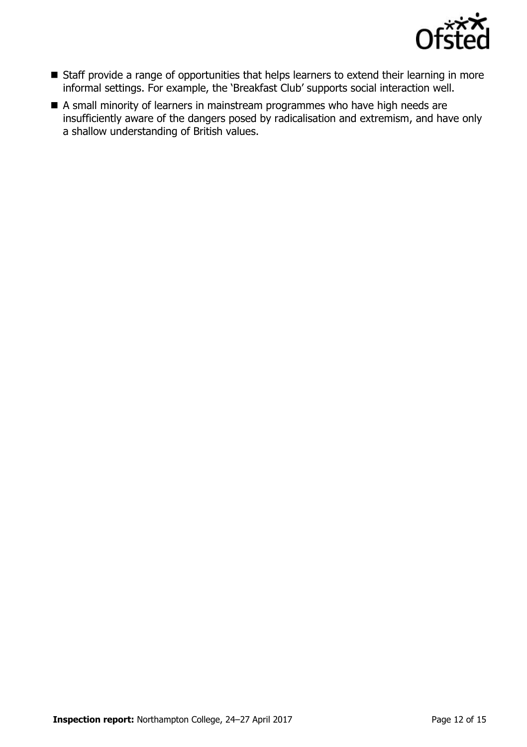

- Staff provide a range of opportunities that helps learners to extend their learning in more informal settings. For example, the 'Breakfast Club' supports social interaction well.
- A small minority of learners in mainstream programmes who have high needs are insufficiently aware of the dangers posed by radicalisation and extremism, and have only a shallow understanding of British values.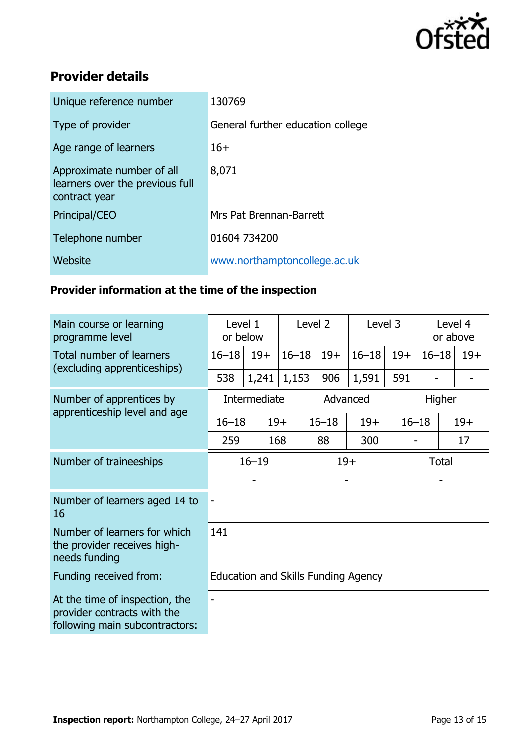

# **Provider details**

| Unique reference number                                                       | 130769                            |
|-------------------------------------------------------------------------------|-----------------------------------|
| Type of provider                                                              | General further education college |
| Age range of learners                                                         | $16+$                             |
| Approximate number of all<br>learners over the previous full<br>contract year | 8,071                             |
| Principal/CEO                                                                 | Mrs Pat Brennan-Barrett           |
| Telephone number                                                              | 01604 734200                      |
| Website                                                                       | www.northamptoncollege.ac.uk      |

### **Provider information at the time of the inspection**

| Main course or learning<br>programme level                                                      | Level 1<br>or below                 |       | Level 2   |           | Level 3 |           | Level 4<br>or above |           |       |
|-------------------------------------------------------------------------------------------------|-------------------------------------|-------|-----------|-----------|---------|-----------|---------------------|-----------|-------|
| <b>Total number of learners</b><br>(excluding apprenticeships)                                  | $16 - 18$                           | $19+$ | $16 - 18$ |           | $19+$   | $16 - 18$ | $19+$               | $16 - 18$ | $19+$ |
|                                                                                                 | 538                                 | 1,241 | 1,153     |           | 906     | 1,591     | 591                 |           |       |
| Number of apprentices by<br>apprenticeship level and age                                        | Intermediate                        |       | Advanced  |           |         |           | Higher              |           |       |
|                                                                                                 | $16 - 18$                           | $19+$ |           | $16 - 18$ |         | $19+$     | $16 - 18$           |           | $19+$ |
|                                                                                                 | 259                                 | 168   |           | 88        |         | 300       |                     |           | 17    |
| Number of traineeships                                                                          | $16 - 19$                           |       |           | $19+$     |         |           | <b>Total</b>        |           |       |
|                                                                                                 |                                     |       |           |           |         |           |                     |           |       |
| Number of learners aged 14 to<br>16                                                             |                                     |       |           |           |         |           |                     |           |       |
| Number of learners for which<br>the provider receives high-<br>needs funding                    | 141                                 |       |           |           |         |           |                     |           |       |
| Funding received from:                                                                          | Education and Skills Funding Agency |       |           |           |         |           |                     |           |       |
| At the time of inspection, the<br>provider contracts with the<br>following main subcontractors: |                                     |       |           |           |         |           |                     |           |       |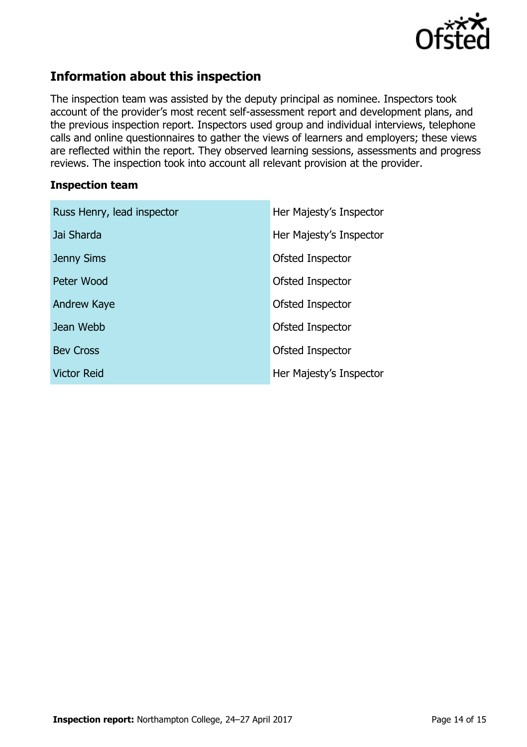

# **Information about this inspection**

The inspection team was assisted by the deputy principal as nominee. Inspectors took account of the provider's most recent self-assessment report and development plans, and the previous inspection report. Inspectors used group and individual interviews, telephone calls and online questionnaires to gather the views of learners and employers; these views are reflected within the report. They observed learning sessions, assessments and progress reviews. The inspection took into account all relevant provision at the provider.

#### **Inspection team**

| Russ Henry, lead inspector | Her Majesty's Inspector |
|----------------------------|-------------------------|
| Jai Sharda                 | Her Majesty's Inspector |
| <b>Jenny Sims</b>          | Ofsted Inspector        |
| Peter Wood                 | Ofsted Inspector        |
| Andrew Kaye                | Ofsted Inspector        |
| Jean Webb                  | Ofsted Inspector        |
| <b>Bev Cross</b>           | Ofsted Inspector        |
| <b>Victor Reid</b>         | Her Majesty's Inspector |